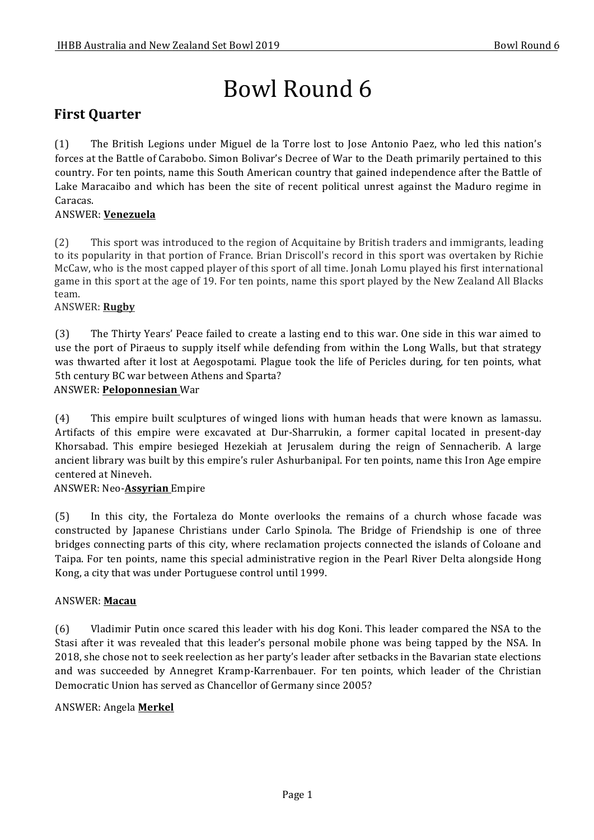# Bowl Round 6

# **First Quarter**

(1) The British Legions under Miguel de la Torre lost to Jose Antonio Paez, who led this nation's forces at the Battle of Carabobo. Simon Bolivar's Decree of War to the Death primarily pertained to this country. For ten points, name this South American country that gained independence after the Battle of Lake Maracaibo and which has been the site of recent political unrest against the Maduro regime in Caracas.

# ANSWER: **Venezuela**

(2) This sport was introduced to the region of Acquitaine by British traders and immigrants, leading to its popularity in that portion of France. Brian Driscoll's record in this sport was overtaken by Richie McCaw, who is the most capped player of this sport of all time. Jonah Lomu played his first international game in this sport at the age of 19. For ten points, name this sport played by the New Zealand All Blacks team.

# ANSWER: **Rugby**

(3) The Thirty Years' Peace failed to create a lasting end to this war. One side in this war aimed to use the port of Piraeus to supply itself while defending from within the Long Walls, but that strategy was thwarted after it lost at Aegospotami. Plague took the life of Pericles during, for ten points, what 5th century BC war between Athens and Sparta?

# ANSWER: **Peloponnesian** War

(4) This empire built sculptures of winged lions with human heads that were known as lamassu. Artifacts of this empire were excavated at Dur-Sharrukin, a former capital located in present-day Khorsabad. This empire besieged Hezekiah at Jerusalem during the reign of Sennacherib. A large ancient library was built by this empire's ruler Ashurbanipal. For ten points, name this Iron Age empire centered at Nineveh.

# ANSWER: Neo-**Assyrian** Empire

(5) In this city, the Fortaleza do Monte overlooks the remains of a church whose facade was constructed by Japanese Christians under Carlo Spinola. The Bridge of Friendship is one of three bridges connecting parts of this city, where reclamation projects connected the islands of Coloane and Taipa. For ten points, name this special administrative region in the Pearl River Delta alongside Hong Kong, a city that was under Portuguese control until 1999.

# ANSWER: **Macau**

(6) Vladimir Putin once scared this leader with his dog Koni. This leader compared the NSA to the Stasi after it was revealed that this leader's personal mobile phone was being tapped by the NSA. In 2018, she chose not to seek reelection as her party's leader after setbacks in the Bavarian state elections and was succeeded by Annegret Kramp-Karrenbauer. For ten points, which leader of the Christian Democratic Union has served as Chancellor of Germany since 2005?

# ANSWER: Angela **Merkel**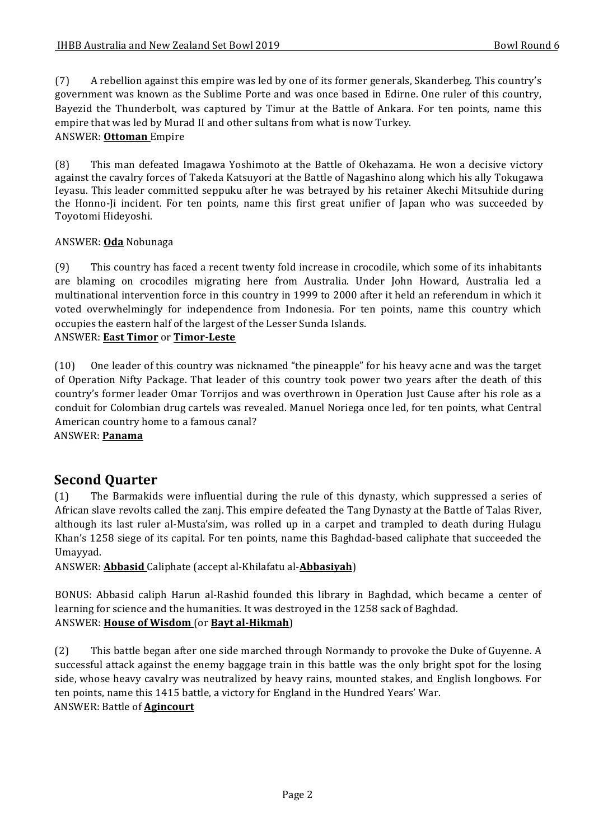(7) A rebellion against this empire was led by one of its former generals, Skanderbeg. This country's government was known as the Sublime Porte and was once based in Edirne. One ruler of this country, Bayezid the Thunderbolt, was captured by Timur at the Battle of Ankara. For ten points, name this empire that was led by Murad II and other sultans from what is now Turkey. ANSWER: **Ottoman** Empire

(8) This man defeated Imagawa Yoshimoto at the Battle of Okehazama. He won a decisive victory against the cavalry forces of Takeda Katsuyori at the Battle of Nagashino along which his ally Tokugawa Ieyasu. This leader committed seppuku after he was betrayed by his retainer Akechi Mitsuhide during the Honno-Ji incident. For ten points, name this first great unifier of Japan who was succeeded by Toyotomi Hideyoshi.

# ANSWER: **Oda** Nobunaga

(9) This country has faced a recent twenty fold increase in crocodile, which some of its inhabitants are blaming on crocodiles migrating here from Australia. Under John Howard, Australia led a multinational intervention force in this country in 1999 to 2000 after it held an referendum in which it voted overwhelmingly for independence from Indonesia. For ten points, name this country which occupies the eastern half of the largest of the Lesser Sunda Islands.

## ANSWER: **East Timor** or **Timor-Leste**

(10) One leader of this country was nicknamed "the pineapple" for his heavy acne and was the target of Operation Nifty Package. That leader of this country took power two years after the death of this country's former leader Omar Torrijos and was overthrown in Operation Just Cause after his role as a conduit for Colombian drug cartels was revealed. Manuel Noriega once led, for ten points, what Central American country home to a famous canal? ANSWER: **Panama**

# **Second Quarter**

(1) The Barmakids were influential during the rule of this dynasty, which suppressed a series of African slave revolts called the zanj. This empire defeated the Tang Dynasty at the Battle of Talas River, although its last ruler al-Musta'sim, was rolled up in a carpet and trampled to death during Hulagu Khan's 1258 siege of its capital. For ten points, name this Baghdad-based caliphate that succeeded the Umayyad.

ANSWER: **Abbasid** Caliphate (accept al-Khilafatu al-**Abbasiyah**)

BONUS: Abbasid caliph Harun al-Rashid founded this library in Baghdad, which became a center of learning for science and the humanities. It was destroyed in the 1258 sack of Baghdad. ANSWER: **House of Wisdom** (or **Bayt al-Hikmah**)

(2) This battle began after one side marched through Normandy to provoke the Duke of Guyenne. A successful attack against the enemy baggage train in this battle was the only bright spot for the losing side, whose heavy cavalry was neutralized by heavy rains, mounted stakes, and English longbows. For ten points, name this 1415 battle, a victory for England in the Hundred Years' War. ANSWER: Battle of **Agincourt**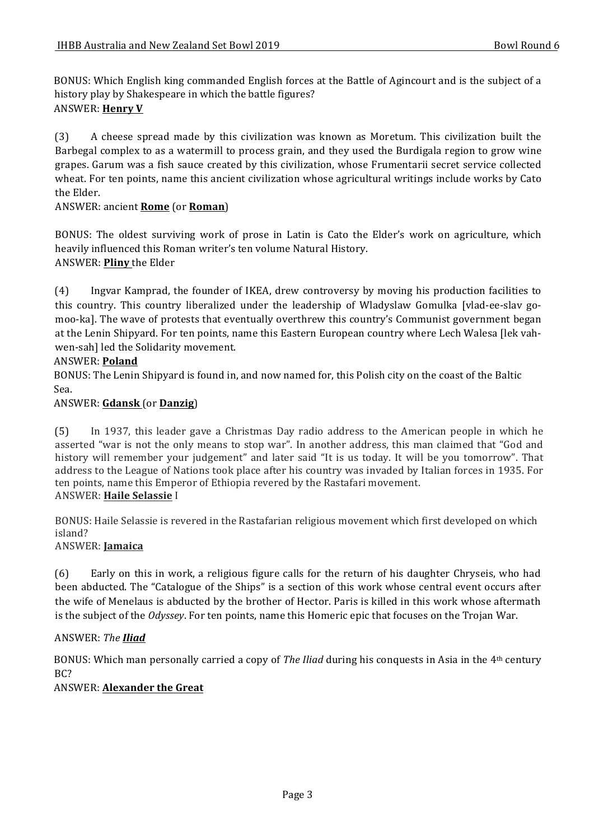BONUS: Which English king commanded English forces at the Battle of Agincourt and is the subject of a history play by Shakespeare in which the battle figures? **ANSWER: Henry V** 

(3) A cheese spread made by this civilization was known as Moretum. This civilization built the Barbegal complex to as a watermill to process grain, and they used the Burdigala region to grow wine grapes. Garum was a fish sauce created by this civilization, whose Frumentarii secret service collected wheat. For ten points, name this ancient civilization whose agricultural writings include works by Cato the Elder.

#### ANSWER: ancient **Rome** (or **Roman**)

BONUS: The oldest surviving work of prose in Latin is Cato the Elder's work on agriculture, which heavily influenced this Roman writer's ten volume Natural History. ANSWER: **Pliny** the Elder

(4) Ingvar Kamprad, the founder of IKEA, drew controversy by moving his production facilities to this country. This country liberalized under the leadership of Wladyslaw Gomulka [vlad-ee-slav gomoo-ka]. The wave of protests that eventually overthrew this country's Communist government began at the Lenin Shipyard. For ten points, name this Eastern European country where Lech Walesa [lek vahwen-sah] led the Solidarity movement.

#### ANSWER: **Poland**

BONUS: The Lenin Shipyard is found in, and now named for, this Polish city on the coast of the Baltic Sea.

#### ANSWER: **Gdansk** (or **Danzig**)

(5) In 1937, this leader gave a Christmas Day radio address to the American people in which he asserted "war is not the only means to stop war". In another address, this man claimed that "God and history will remember your judgement" and later said "It is us today. It will be you tomorrow". That address to the League of Nations took place after his country was invaded by Italian forces in 1935. For ten points, name this Emperor of Ethiopia revered by the Rastafari movement. ANSWER: **Haile Selassie** I

BONUS: Haile Selassie is revered in the Rastafarian religious movement which first developed on which island?

# ANSWER: **Jamaica**

(6) Early on this in work, a religious figure calls for the return of his daughter Chryseis, who had been abducted. The "Catalogue of the Ships" is a section of this work whose central event occurs after the wife of Menelaus is abducted by the brother of Hector. Paris is killed in this work whose aftermath is the subject of the *Odyssey*. For ten points, name this Homeric epic that focuses on the Trojan War.

#### ANSWER: *The Iliad*

BONUS: Which man personally carried a copy of *The Iliad* during his conquests in Asia in the 4<sup>th</sup> century BC?

#### ANSWER: **Alexander the Great**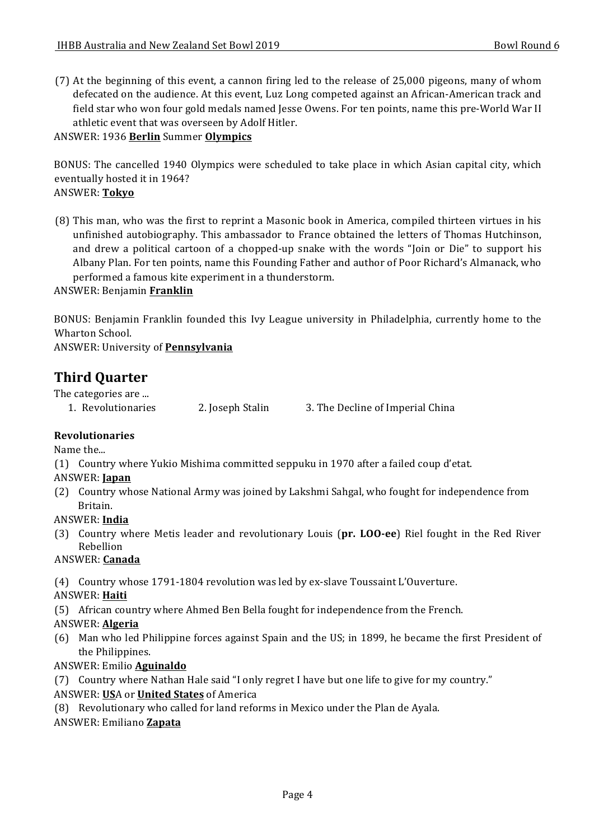(7) At the beginning of this event, a cannon firing led to the release of 25,000 pigeons, many of whom defecated on the audience. At this event, Luz Long competed against an African-American track and field star who won four gold medals named Jesse Owens. For ten points, name this pre-World War II athletic event that was overseen by Adolf Hitler.

#### ANSWER: 1936 **Berlin** Summer **Olympics**

BONUS: The cancelled 1940 Olympics were scheduled to take place in which Asian capital city, which eventually hosted it in 1964? ANSWER: **Tokyo**

(8) This man, who was the first to reprint a Masonic book in America, compiled thirteen virtues in his unfinished autobiography. This ambassador to France obtained the letters of Thomas Hutchinson, and drew a political cartoon of a chopped-up snake with the words "loin or Die" to support his Albany Plan. For ten points, name this Founding Father and author of Poor Richard's Almanack, who performed a famous kite experiment in a thunderstorm.

#### ANSWER: Benjamin **Franklin**

BONUS: Benjamin Franklin founded this Ivy League university in Philadelphia, currently home to the Wharton School.

ANSWER: University of **Pennsylvania**

# **Third Ouarter**

The categories are ...

1. Revolutionaries 2. Joseph Stalin 3. The Decline of Imperial China

# **Revolutionaries**

Name the...

(1) Country where Yukio Mishima committed seppuku in 1970 after a failed coup d'etat.

#### ANSWER: **Japan**

(2) Country whose National Army was joined by Lakshmi Sahgal, who fought for independence from Britain.

#### ANSWER: **India**

(3) Country where Metis leader and revolutionary Louis (pr. LOO-ee) Riel fought in the Red River Rebellion

#### ANSWER: **Canada**

(4) Country whose 1791-1804 revolution was led by ex-slave Toussaint L'Ouverture.

# ANSWER: **Haiti**

(5) African country where Ahmed Ben Bella fought for independence from the French.

#### ANSWER: **Algeria**

(6) Man who led Philippine forces against Spain and the US; in 1899, he became the first President of the Philippines.

# ANSWER: Emilio **Aguinaldo**

(7) Country where Nathan Hale said "I only regret I have but one life to give for my country."

#### ANSWER: **US**A or **United States** of America

(8) Revolutionary who called for land reforms in Mexico under the Plan de Ayala.

# ANSWER: Emiliano **Zapata**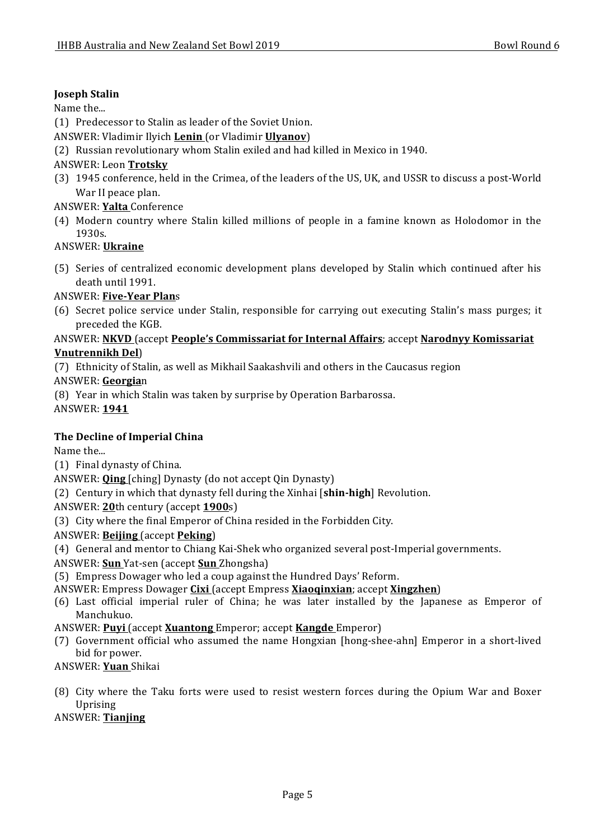# **Joseph Stalin**

Name the...

- (1) Predecessor to Stalin as leader of the Soviet Union.
- ANSWER: Vladimir Ilyich **Lenin** (or Vladimir **Ulyanov**)
- (2) Russian revolutionary whom Stalin exiled and had killed in Mexico in 1940.

# ANSWER: Leon **Trotsky**

(3) 1945 conference, held in the Crimea, of the leaders of the US, UK, and USSR to discuss a post-World War II peace plan.

#### ANSWER: **Yalta** Conference

(4) Modern country where Stalin killed millions of people in a famine known as Holodomor in the 1930s. 

#### ANSWER: **Ukraine**

(5) Series of centralized economic development plans developed by Stalin which continued after his death until 1991.

#### ANSWER: **Five-Year Plan**s

(6) Secret police service under Stalin, responsible for carrying out executing Stalin's mass purges; it preceded the KGB.

#### ANSWER: NKVD (accept People's Commissariat for Internal Affairs; accept Narodnyy Komissariat **Vnutrennikh Del**)

(7) Ethnicity of Stalin, as well as Mikhail Saakashvili and others in the Caucasus region

ANSWER: **Georgia**n

(8) Year in which Stalin was taken by surprise by Operation Barbarossa.

ANSWER: **1941**

# **The Decline of Imperial China**

Name the...

(1) Final dynasty of China.

ANSWER: **Qing** [ching] Dynasty (do not accept Qin Dynasty)

(2) Century in which that dynasty fell during the Xinhai [shin-high] Revolution.

ANSWER: 20th century (accept 1900s)

(3) City where the final Emperor of China resided in the Forbidden City.

# ANSWER: **Beijing** (accept **Peking**)

- (4) General and mentor to Chiang Kai-Shek who organized several post-Imperial governments.
- ANSWER: Sun Yat-sen (accept Sun Zhongsha)

(5) Empress Dowager who led a coup against the Hundred Days' Reform.

#### ANSWER: Empress Dowager **Cixi** (accept Empress **Xiaoqinxian**; accept **Xingzhen**)

- (6) Last official imperial ruler of China; he was later installed by the Japanese as Emperor of Manchukuo.
- ANSWER: **Puyi** (accept **Xuantong** Emperor; accept **Kangde** Emperor)
- (7) Government official who assumed the name Hongxian [hong-shee-ahn] Emperor in a short-lived bid for power.
- ANSWER: **Yuan** Shikai
- (8) City where the Taku forts were used to resist western forces during the Opium War and Boxer Uprising

#### ANSWER: **Tianjing**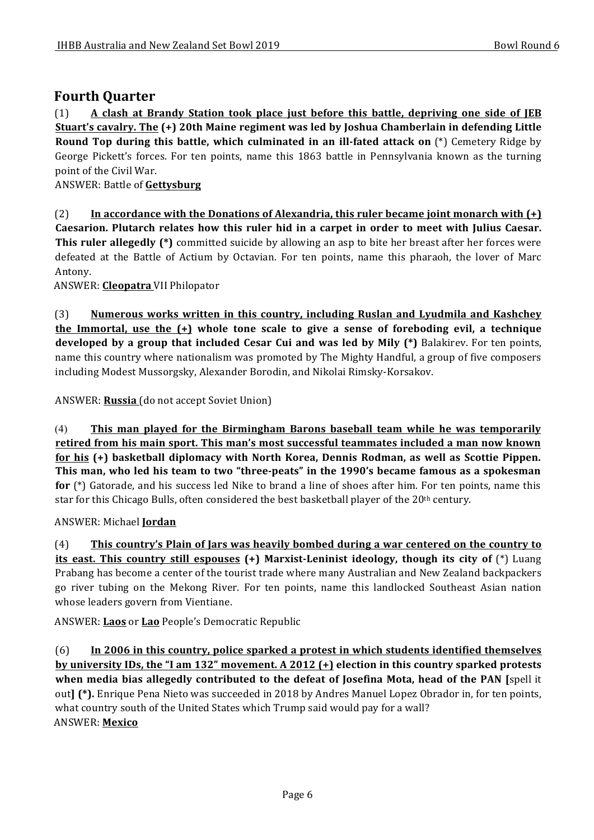# **Fourth Quarter**

(1) **A** clash at Brandy Station took place just before this battle, depriving one side of JEB **Stuart's cavalry. The (+) 20th Maine regiment was led by Joshua Chamberlain in defending Little Round Top during this battle, which culminated in an ill-fated attack on** (\*) Cemetery Ridge by George Pickett's forces. For ten points, name this 1863 battle in Pennsylvania known as the turning point of the Civil War.

ANSWER: Battle of **Gettysburg**

(2) In accordance with the Donations of Alexandria, this ruler became joint monarch with  $(+)$ Caesarion. Plutarch relates how this ruler hid in a carpet in order to meet with Julius Caesar. **This ruler allegedly** (\*) committed suicide by allowing an asp to bite her breast after her forces were defeated at the Battle of Actium by Octavian. For ten points, name this pharaoh, the lover of Marc Antony.

ANSWER: **Cleopatra** VII Philopator

(3) **Numerous works written in this country, including Ruslan and Lyudmila and Kashchey the Immortal, use the**  $(+)$  **whole tone scale to give a sense of foreboding evil, a technique developed by a group that included Cesar Cui and was led by Mily (\*)** Balakirev. For ten points, name this country where nationalism was promoted by The Mighty Handful, a group of five composers including Modest Mussorgsky, Alexander Borodin, and Nikolai Rimsky-Korsakov.

ANSWER: Russia (do not accept Soviet Union)

(4) **This man played for the Birmingham Barons baseball team while he was temporarily** retired from his main sport. This man's most successful teammates included a man now known for his (+) basketball diplomacy with North Korea, Dennis Rodman, as well as Scottie Pippen. This man, who led his team to two "three-peats" in the 1990's became famous as a spokesman **for** (\*) Gatorade, and his success led Nike to brand a line of shoes after him. For ten points, name this star for this Chicago Bulls, often considered the best basketball player of the  $20<sup>th</sup>$  century.

#### ANSWER: Michael **Jordan**

(4) **This country's Plain of Jars was heavily bombed during a war centered on the country to its east. This country still espouses** (+) Marxist-Leninist ideology, though its city of (\*) Luang Prabang has become a center of the tourist trade where many Australian and New Zealand backpackers go river tubing on the Mekong River. For ten points, name this landlocked Southeast Asian nation whose leaders govern from Vientiane.

ANSWER: **Laos** or **Lao** People's Democratic Republic

(6) In 2006 in this country, police sparked a protest in which students identified themselves **by university IDs, the "I am 132" movement.** A 2012 (+) election in this country sparked protests **when media bias allegedly contributed to the defeat of Josefina Mota, head of the PAN** [spell it out**]** (\*). Enrique Pena Nieto was succeeded in 2018 by Andres Manuel Lopez Obrador in, for ten points, what country south of the United States which Trump said would pay for a wall? ANSWER: **Mexico**